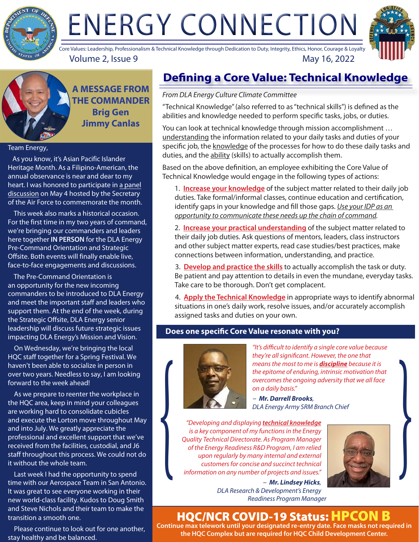

# ENERGY CONNECTION



Volume 2, Issue 9 May 16, 2022 Core Values: Leadership, Professionalism & Technical Knowledge through Dedication to Duty, Integrity, Ethics, Honor, Courage & Loyalty

**A MESSAGE FROM THE COMMANDER Brig Gen Jimmy Canlas**

#### Team Energy,

 As you know, it's Asian Pacific Islander Heritage Month. As a Filipino-American, the annual observance is near and dear to my [heart. I was honored to participate in a panel](https://www.facebook.com/USairforce/videos/417290403572444) discussion on May 4 hosted by the Secretary of the Air Force to commemorate the month.

 This week also marks a historical occasion. For the first time in my two years of command, we're bringing our commanders and leaders here together **IN PERSON** for the DLA Energy Pre-Command Orientation and Strategic Offsite. Both events will finally enable live, face-to-face engagements and discussions.

 The Pre-Command Orientation is an opportunity for the new incoming commanders to be introduced to DLA Energy and meet the important staff and leaders who support them. At the end of the week, during the Strategic Offsite, DLA Energy senior leadership will discuss future strategic issues impacting DLA Energy's Mission and Vision.

 On Wednesday, we're bringing the local HQC staff together for a Spring Festival. We haven't been able to socialize in person in over two years. Needless to say, I am looking forward to the week ahead!

 As we prepare to reenter the workplace in the HQC area, keep in mind your colleagues are working hard to consolidate cubicles and execute the Lorton move throughout May and into July. We greatly appreciate the professional and excellent support that we've received from the facilities, custodial, and J6 staff throughout this process. We could not do it without the whole team.

 Last week I had the opportunity to spend time with our Aerospace Team in San Antonio. It was great to see everyone working in their new world-class facility. Kudos to Doug Smith and Steve Nichols and their team to make the transition a smooth one.

 Please continue to look out for one another, stay healthy and be balanced.

# **Defining a Core Value: Technical Knowledge**

#### *From DLA Energy Culture Climate Committee*

"Technical Knowledge" (also referred to as "technical skills") is defined as the abilities and knowledge needed to perform specific tasks, jobs, or duties.

You can look at technical knowledge through mission accomplishment … understanding the information related to your daily tasks and duties of your specific job, the knowledge of the processes for how to do these daily tasks and duties, and the ability (skills) to actually accomplish them.

Based on the above definition, an employee exhibiting the Core Value of Technical Knowledge would engage in the following types of actions:

1. **Increase your knowledge** of the subject matter related to their daily job duties. Take formal/informal classes, continue education and certification, identify gaps in your knowledge and fill those gaps. *Use your IDP as an opportunity to communicate these needs up the chain of command.*

2. **Increase your practical understanding** of the subject matter related to their daily job duties. Ask questions of mentors, leaders, class instructors and other subject matter experts, read case studies/best practices, make connections between information, understanding, and practice.

3. **Develop and practice the skills** to actually accomplish the task or duty. Be patient and pay attention to details in even the mundane, everyday tasks. Take care to be thorough. Don't get complacent.

4. **Apply the Technical Knowledge** in appropriate ways to identify abnormal situations in one's daily work, resolve issues, and/or accurately accomplish assigned tasks and duties on your own.

#### **Does one specific Core Value resonate with you?**



*"It's difficult to identify a single core value because they're all significant. However, the one that means the most to me is discipline because it is the epitome of enduring, intrinsic motivation that overcomes the ongoing adversity that we all face on a daily basis."*

*- Mr. Darrell Brooks, DLA Energy Army SRM Branch Chief*

*"Developing and displaying technical knowledge is a key component of my functions in the Energy Quality Technical Directorate. As Program Manager of the Energy Readiness R&D Program, I am relied upon regularly by many internal and external customers for concise and succinct technical information on any number of projects and issues."*  "Developing and displaying technical knowledge<br>
is a key component of my functions in the Energy<br>
Quality Technical Directorate. As Program Manager<br>
of the Energy Readiness R&D Program, I am relied<br>
upon regularly by many



*- Mr. Lindsey Hicks, DLA Research & Development's Energy Readiness Program Manager*

# HQC/NCR COVID-19 Status: HPCON B

**Continue max telework until your designated re-entry date. Face masks not required in the HQC Complex but are required for HQC Child Development Center.**